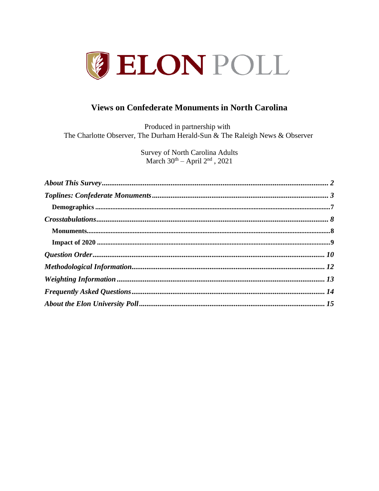

# **Views on Confederate Monuments in North Carolina**

Produced in partnership with The Charlotte Observer, The Durham Herald-Sun & The Raleigh News & Observer

> **Survey of North Carolina Adults** March  $30<sup>th</sup> - April 2<sup>nd</sup>$ , 2021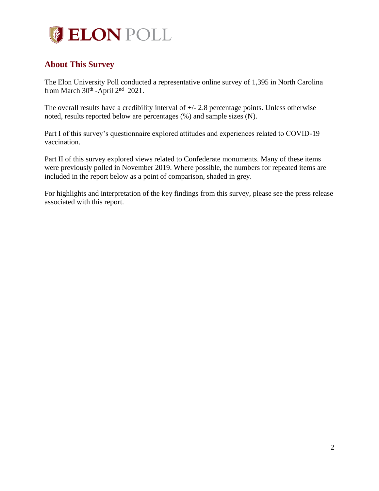

# <span id="page-1-0"></span>**About This Survey**

The Elon University Poll conducted a representative online survey of 1,395 in North Carolina from March  $30<sup>th</sup>$  -April  $2<sup>nd</sup>$  2021.

The overall results have a credibility interval of +/- 2.8 percentage points. Unless otherwise noted, results reported below are percentages (%) and sample sizes (N).

Part I of this survey's questionnaire explored attitudes and experiences related to COVID-19 vaccination.

Part II of this survey explored views related to Confederate monuments. Many of these items were previously polled in November 2019. Where possible, the numbers for repeated items are included in the report below as a point of comparison, shaded in grey.

For highlights and interpretation of the key findings from this survey, please see the press release associated with this report.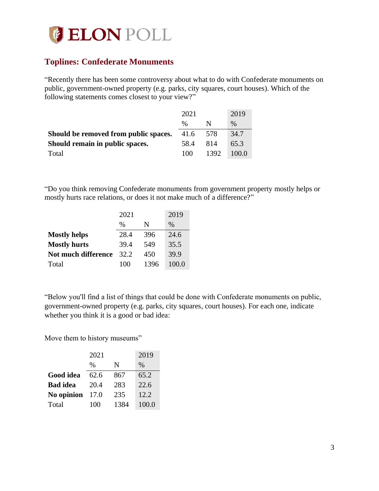

# <span id="page-2-0"></span>**Toplines: Confederate Monuments**

"Recently there has been some controversy about what to do with Confederate monuments on public, government-owned property (e.g. parks, city squares, court houses). Which of the following statements comes closest to your view?"

|                                       | 2021 |      | 2019  |
|---------------------------------------|------|------|-------|
|                                       | $\%$ | N    | $\%$  |
| Should be removed from public spaces. | 41.6 | 578  | 34.7  |
| Should remain in public spaces.       | 58.4 | 814  | 65.3  |
| Total                                 | 100  | 1392 | 100.0 |

"Do you think removing Confederate monuments from government property mostly helps or mostly hurts race relations, or does it not make much of a difference?"

|                     | 2021 |      | 2019          |
|---------------------|------|------|---------------|
|                     | $\%$ | N    | $\frac{0}{0}$ |
| <b>Mostly helps</b> | 28.4 | 396  | 24.6          |
| <b>Mostly hurts</b> | 39.4 | 549  | 35.5          |
| Not much difference | 32.2 | 450  | 39.9          |
| Total               | 100  | 1396 | 100.0         |

"Below you'll find a list of things that could be done with Confederate monuments on public, government-owned property (e.g. parks, city squares, court houses). For each one, indicate whether you think it is a good or bad idea:

Move them to history museums"

|                 | 2021          |      | 2019  |
|-----------------|---------------|------|-------|
|                 | $\frac{0}{0}$ | N    | $\%$  |
| Good idea       | 62.6          | 867  | 65.2  |
| <b>Bad</b> idea | 20.4          | 283  | 22.6  |
| No opinion      | 17.0          | 235  | 12.2  |
| Total           | 100           | 1384 | 100.0 |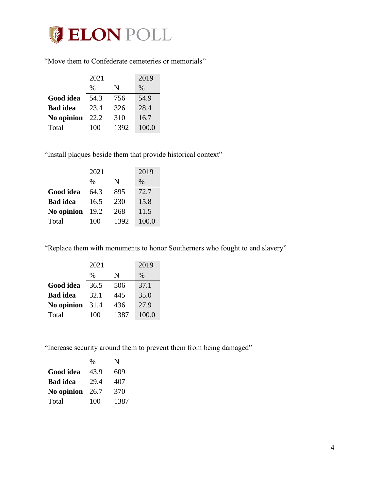

"Move them to Confederate cemeteries or memorials"

|                 | 2021          |      | 2019  |
|-----------------|---------------|------|-------|
|                 | $\frac{0}{0}$ | N    | $\%$  |
| Good idea       | 54.3          | 756  | 54.9  |
| <b>Bad</b> idea | 23.4          | 326  | 28.4  |
| No opinion      | 22.2          | 310  | 16.7  |
| Total           | 100           | 1392 | 100.0 |

"Install plaques beside them that provide historical context"

|                 | 2021          |      | 2019  |
|-----------------|---------------|------|-------|
|                 | $\frac{0}{0}$ | N    | $\%$  |
| Good idea       | 64.3          | 895  | 72.7  |
| <b>Bad</b> idea | 16.5          | 230  | 15.8  |
| No opinion      | 19.2          | 268  | 11.5  |
| Total           | 100           | 1392 | 100.0 |

"Replace them with monuments to honor Southerners who fought to end slavery"

|                 | 2021 |      | 2019  |
|-----------------|------|------|-------|
|                 | %    | N    | $\%$  |
| Good idea       | 36.5 | 506  | 37.1  |
| <b>Bad</b> idea | 32.1 | 445  | 35.0  |
| No opinion      | 31.4 | 436  | 27.9  |
| Total           | 100  | 1387 | 100.0 |

"Increase security around them to prevent them from being damaged"

|                 | $\frac{0}{0}$ | N    |
|-----------------|---------------|------|
| Good idea       | 43.9          | 609  |
| <b>Bad</b> idea | 29.4          | 407  |
| No opinion      | 26.7          | 370  |
| Total           | 100           | 1387 |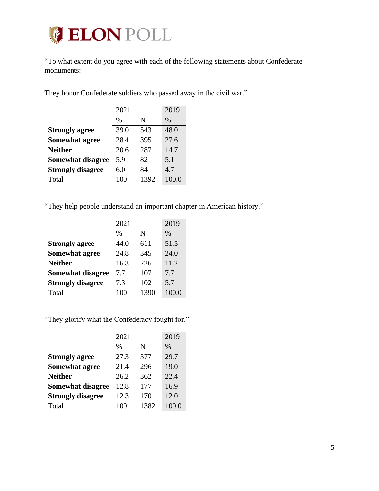# **JELON POLL**

"To what extent do you agree with each of the following statements about Confederate monuments:

They honor Confederate soldiers who passed away in the civil war."

|                          | 2021          |      | 2019  |
|--------------------------|---------------|------|-------|
|                          | $\frac{0}{0}$ | N    | $\%$  |
| <b>Strongly agree</b>    | 39.0          | 543  | 48.0  |
| <b>Somewhat agree</b>    | 28.4          | 395  | 27.6  |
| <b>Neither</b>           | 20.6          | 287  | 14.7  |
| Somewhat disagree        | 5.9           | 82   | 5.1   |
| <b>Strongly disagree</b> | 6.0           | 84   | 4.7   |
| Total                    | 100           | 1392 | 100.0 |

"They help people understand an important chapter in American history."

|                          | 2021 |      | 2019  |
|--------------------------|------|------|-------|
|                          | $\%$ | N    | $\%$  |
| <b>Strongly agree</b>    | 44.0 | 611  | 51.5  |
| <b>Somewhat agree</b>    | 24.8 | 345  | 24.0  |
| <b>Neither</b>           | 16.3 | 226  | 11.2  |
| <b>Somewhat disagree</b> | 7.7  | 107  | 7.7   |
| <b>Strongly disagree</b> | 7.3  | 102  | 5.7   |
| Total                    | 100  | 1390 | 100.0 |

"They glorify what the Confederacy fought for."

|                          | 2021          |      | 2019  |
|--------------------------|---------------|------|-------|
|                          | $\frac{0}{0}$ | N    | $\%$  |
| <b>Strongly agree</b>    | 27.3          | 377  | 29.7  |
| <b>Somewhat agree</b>    | 21.4          | 296  | 19.0  |
| <b>Neither</b>           | 26.2          | 362  | 22.4  |
| <b>Somewhat disagree</b> | 12.8          | 177  | 16.9  |
| <b>Strongly disagree</b> | 12.3          | 170  | 12.0  |
| Total                    | 100           | 1382 | 100.0 |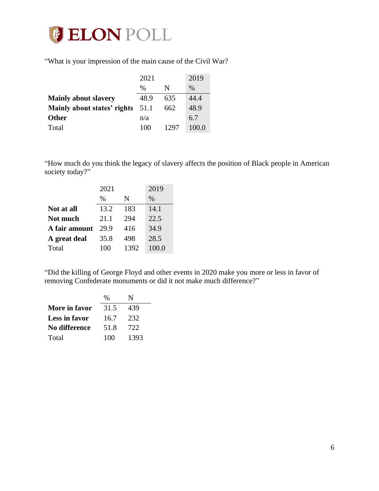

"What is your impression of the main cause of the Civil War?

|                             | 2021          |      | 2019          |
|-----------------------------|---------------|------|---------------|
|                             | $\frac{0}{0}$ | N    | $\frac{0}{0}$ |
| <b>Mainly about slavery</b> | 48.9          | 635  | 44.4          |
| Mainly about states' rights | 51.1          | 662  | 48.9          |
| <b>Other</b>                | n/a           |      | 6.7           |
| Total                       | 100           | 1297 | 100.0         |

"How much do you think the legacy of slavery affects the position of Black people in American society today?"

|               | 2021 |      | 2019  |
|---------------|------|------|-------|
|               | $\%$ | N    | $\%$  |
| Not at all    | 13.2 | 183  | 14.1  |
| Not much      | 21.1 | 294  | 22.5  |
| A fair amount | 29.9 | 416  | 34.9  |
| A great deal  | 35.8 | 498  | 28.5  |
| Total         | 100  | 1392 | 100.0 |

"Did the killing of George Floyd and other events in 2020 make you more or less in favor of removing Confederate monuments or did it not make much difference?"

|               | $\%$ | N    |
|---------------|------|------|
| More in favor | 31.5 | 439  |
| Less in favor | 16.7 | 232  |
| No difference | 51.8 | 722  |
| Total         | 100  | 1393 |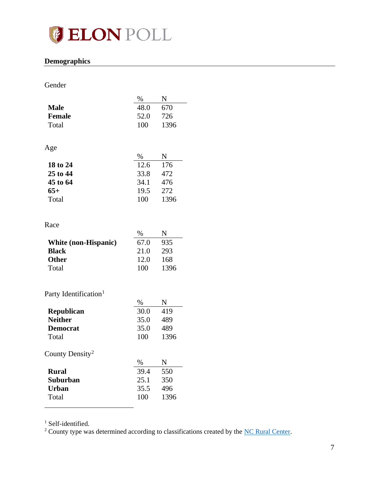

## <span id="page-6-0"></span>**Demographics**

## Gender

|                                   | $\%$ | N    |
|-----------------------------------|------|------|
| <b>Male</b>                       | 48.0 | 670  |
| <b>Female</b>                     | 52.0 | 726  |
| Total                             | 100  | 1396 |
|                                   |      |      |
| Age                               |      |      |
|                                   | $\%$ | N    |
| 18 to 24                          | 12.6 | 176  |
| 25 to 44                          | 33.8 | 472  |
| 45 to 64                          | 34.1 | 476  |
| $65+$                             | 19.5 | 272  |
| Total                             | 100  | 1396 |
|                                   |      |      |
|                                   |      |      |
| Race                              |      |      |
|                                   | $\%$ | N    |
| White (non-Hispanic)              | 67.0 | 935  |
| <b>Black</b>                      | 21.0 | 293  |
| <b>Other</b>                      | 12.0 | 168  |
| Total                             | 100  | 1396 |
|                                   |      |      |
| Party Identification <sup>1</sup> |      |      |
|                                   | $\%$ | N    |
| Republican                        | 30.0 | 419  |
| <b>Neither</b>                    | 35.0 | 489  |
| <b>Democrat</b>                   | 35.0 | 489  |
| Total                             | 100  | 1396 |
|                                   |      |      |
| County Density <sup>2</sup>       |      |      |
|                                   | $\%$ | N    |
| <b>Rural</b>                      | 39.4 | 550  |
| Suburban                          | 25.1 | 350  |
| <b>Urban</b>                      | 35.5 | 496  |
| Total                             | 100  | 1396 |
|                                   |      |      |

<sup>1</sup> Self-identified.

<sup>2</sup> County type was determined according to classifications created by the <u>NC Rural Center</u>.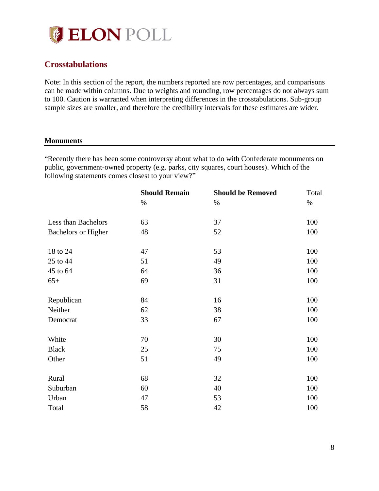

# <span id="page-7-0"></span>**Crosstabulations**

Note: In this section of the report, the numbers reported are row percentages, and comparisons can be made within columns. Due to weights and rounding, row percentages do not always sum to 100. Caution is warranted when interpreting differences in the crosstabulations. Sub-group sample sizes are smaller, and therefore the credibility intervals for these estimates are wider.

#### <span id="page-7-1"></span>**Monuments**

"Recently there has been some controversy about what to do with Confederate monuments on public, government-owned property (e.g. parks, city squares, court houses). Which of the following statements comes closest to your view?"

|                            | <b>Should Remain</b> | <b>Should be Removed</b> | Total |
|----------------------------|----------------------|--------------------------|-------|
|                            | $\%$                 | $\%$                     | $\%$  |
| Less than Bachelors        | 63                   | 37                       | 100   |
| <b>Bachelors or Higher</b> | 48                   | 52                       | 100   |
| 18 to 24                   | 47                   | 53                       | 100   |
| 25 to 44                   | 51                   | 49                       | 100   |
| 45 to 64                   | 64                   | 36                       | 100   |
| $65+$                      | 69                   | 31                       | 100   |
| Republican                 | 84                   | 16                       | 100   |
| Neither                    | 62                   | 38                       | 100   |
| Democrat                   | 33                   | 67                       | 100   |
| White                      | 70                   | 30                       | 100   |
| <b>Black</b>               | 25                   | 75                       | 100   |
| Other                      | 51                   | 49                       | 100   |
| Rural                      | 68                   | 32                       | 100   |
| Suburban                   | 60                   | 40                       | 100   |
| Urban                      | 47                   | 53                       | 100   |
| Total                      | 58                   | 42                       | 100   |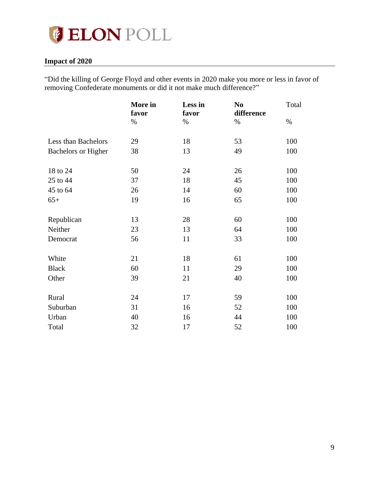

## <span id="page-8-0"></span>**Impact of 2020**

"Did the killing of George Floyd and other events in 2020 make you more or less in favor of removing Confederate monuments or did it not make much difference?"

|                            | More in<br>favor | Less in<br>favor | N <sub>0</sub><br>difference | Total |
|----------------------------|------------------|------------------|------------------------------|-------|
|                            | $\%$             | $\%$             | $\%$                         | $\%$  |
| Less than Bachelors        | 29               | 18               | 53                           | 100   |
| <b>Bachelors or Higher</b> | 38               | 13               | 49                           | 100   |
| 18 to 24                   | 50               | 24               | 26                           | 100   |
| 25 to 44                   | 37               | 18               | 45                           | 100   |
| 45 to 64                   | 26               | 14               | 60                           | 100   |
| $65+$                      | 19               | 16               | 65                           | 100   |
| Republican                 | 13               | 28               | 60                           | 100   |
| Neither                    | 23               | 13               | 64                           | 100   |
| Democrat                   | 56               | 11               | 33                           | 100   |
| White                      | 21               | 18               | 61                           | 100   |
| <b>Black</b>               | 60               | 11               | 29                           | 100   |
| Other                      | 39               | 21               | 40                           | 100   |
| Rural                      | 24               | 17               | 59                           | 100   |
| Suburban                   | 31               | 16               | 52                           | 100   |
| Urban                      | 40               | 16               | 44                           | 100   |
| Total                      | 32               | 17               | 52                           | 100   |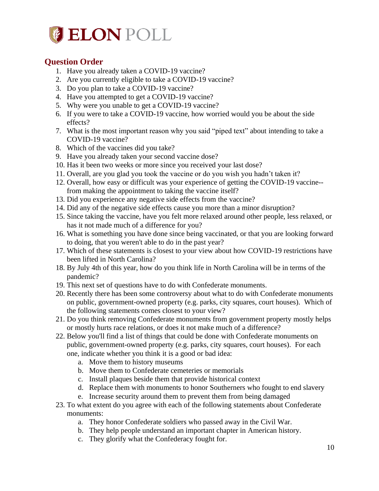

# <span id="page-9-0"></span>**Question Order**

- 1. Have you already taken a COVID-19 vaccine?
- 2. Are you currently eligible to take a COVID-19 vaccine?
- 3. Do you plan to take a COVID-19 vaccine?
- 4. Have you attempted to get a COVID-19 vaccine?
- 5. Why were you unable to get a COVID-19 vaccine?
- 6. If you were to take a COVID-19 vaccine, how worried would you be about the side effects?
- 7. What is the most important reason why you said "piped text" about intending to take a COVID-19 vaccine?
- 8. Which of the vaccines did you take?
- 9. Have you already taken your second vaccine dose?
- 10. Has it been two weeks or more since you received your last dose?
- 11. Overall, are you glad you took the vaccine or do you wish you hadn't taken it?
- 12. Overall, how easy or difficult was your experience of getting the COVID-19 vaccine- from making the appointment to taking the vaccine itself?
- 13. Did you experience any negative side effects from the vaccine?
- 14. Did any of the negative side effects cause you more than a minor disruption?
- 15. Since taking the vaccine, have you felt more relaxed around other people, less relaxed, or has it not made much of a difference for you?
- 16. What is something you have done since being vaccinated, or that you are looking forward to doing, that you weren't able to do in the past year?
- 17. Which of these statements is closest to your view about how COVID-19 restrictions have been lifted in North Carolina?
- 18. By July 4th of this year, how do you think life in North Carolina will be in terms of the pandemic?
- 19. This next set of questions have to do with Confederate monuments.
- 20. Recently there has been some controversy about what to do with Confederate monuments on public, government-owned property (e.g. parks, city squares, court houses). Which of the following statements comes closest to your view?
- 21. Do you think removing Confederate monuments from government property mostly helps or mostly hurts race relations, or does it not make much of a difference?
- 22. Below you'll find a list of things that could be done with Confederate monuments on public, government-owned property (e.g. parks, city squares, court houses). For each one, indicate whether you think it is a good or bad idea:
	- a. Move them to history museums
	- b. Move them to Confederate cemeteries or memorials
	- c. Install plaques beside them that provide historical context
	- d. Replace them with monuments to honor Southerners who fought to end slavery
	- e. Increase security around them to prevent them from being damaged
- 23. To what extent do you agree with each of the following statements about Confederate monuments:
	- a. They honor Confederate soldiers who passed away in the Civil War.
	- b. They help people understand an important chapter in American history.
	- c. They glorify what the Confederacy fought for.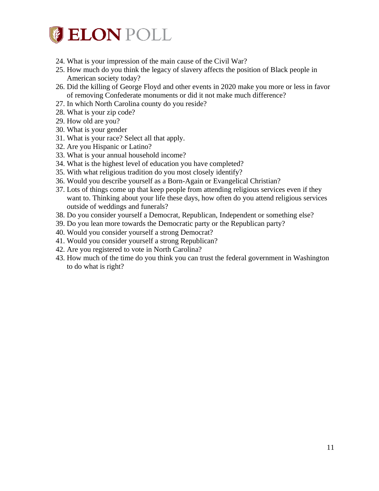

- 24. What is your impression of the main cause of the Civil War?
- 25. How much do you think the legacy of slavery affects the position of Black people in American society today?
- 26. Did the killing of George Floyd and other events in 2020 make you more or less in favor of removing Confederate monuments or did it not make much difference?
- 27. In which North Carolina county do you reside?
- 28. What is your zip code?
- 29. How old are you?
- 30. What is your gender
- 31. What is your race? Select all that apply.
- 32. Are you Hispanic or Latino?
- 33. What is your annual household income?
- 34. What is the highest level of education you have completed?
- 35. With what religious tradition do you most closely identify?
- 36. Would you describe yourself as a Born-Again or Evangelical Christian?
- 37. Lots of things come up that keep people from attending religious services even if they want to. Thinking about your life these days, how often do you attend religious services outside of weddings and funerals?
- 38. Do you consider yourself a Democrat, Republican, Independent or something else?
- 39. Do you lean more towards the Democratic party or the Republican party?
- 40. Would you consider yourself a strong Democrat?
- 41. Would you consider yourself a strong Republican?
- 42. Are you registered to vote in North Carolina?
- 43. How much of the time do you think you can trust the federal government in Washington to do what is right?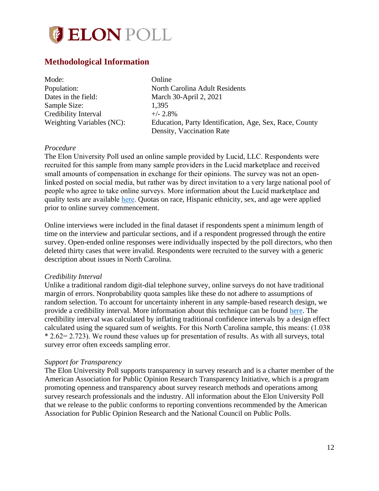

## <span id="page-11-0"></span>**Methodological Information**

| Mode:                     | Online                                                  |
|---------------------------|---------------------------------------------------------|
| Population:               | North Carolina Adult Residents                          |
| Dates in the field:       | March 30-April 2, 2021                                  |
| Sample Size:              | 1.395                                                   |
| Credibility Interval      | $+/- 2.8\%$                                             |
| Weighting Variables (NC): | Education, Party Identification, Age, Sex, Race, County |
|                           | Density, Vaccination Rate                               |

#### *Procedure*

The Elon University Poll used an online sample provided by Lucid, LLC. Respondents were recruited for this sample from many sample providers in the Lucid marketplace and received small amounts of compensation in exchange for their opinions. The survey was not an openlinked posted on social media, but rather was by direct invitation to a very large national pool of people who agree to take online surveys. More information about the Lucid marketplace and quality tests are available [here.](https://luc.id/quality/) Quotas on race, Hispanic ethnicity, sex, and age were applied prior to online survey commencement.

Online interviews were included in the final dataset if respondents spent a minimum length of time on the interview and particular sections, and if a respondent progressed through the entire survey. Open-ended online responses were individually inspected by the poll directors, who then deleted thirty cases that were invalid. Respondents were recruited to the survey with a generic description about issues in North Carolina.

#### *Credibility Interval*

Unlike a traditional random digit-dial telephone survey, online surveys do not have traditional margin of errors. Nonprobability quota samples like these do not adhere to assumptions of random selection. To account for uncertainty inherent in any sample-based research design, we provide a credibility interval. More information about this technique can be found [here.](https://www.aapor.org/Education-Resources/Election-Polling-Resources/Margin-of-Sampling-Error-Credibility-Interval.aspx) The credibility interval was calculated by inflating traditional confidence intervals by a design effect calculated using the squared sum of weights. For this North Carolina sample, this means: (1.038 \* 2.62= 2.723). We round these values up for presentation of results. As with all surveys, total survey error often exceeds sampling error.

#### *Support for Transparency*

The Elon University Poll supports transparency in survey research and is a charter member of the American Association for Public Opinion Research Transparency Initiative, which is a program promoting openness and transparency about survey research methods and operations among survey research professionals and the industry. All information about the Elon University Poll that we release to the public conforms to reporting conventions recommended by the American Association for Public Opinion Research and the National Council on Public Polls.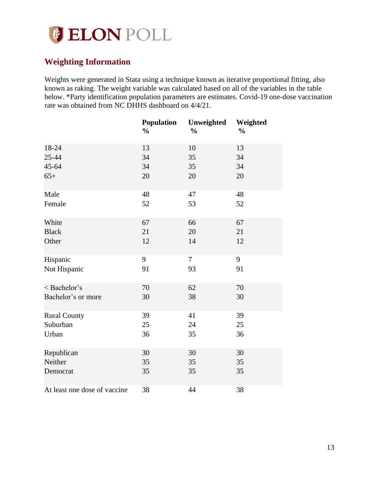

# <span id="page-12-0"></span>**Weighting Information**

Weights were generated in Stata using a technique known as iterative proportional fitting, also known as raking. The weight variable was calculated based on all of the variables in the table below. \*Party identification population parameters are estimates. Covid-19 one-dose vaccination rate was obtained from NC DHHS dashboard on 4/4/21.

|                              | <b>Population</b><br>$\frac{0}{0}$ | Unweighted<br>$\frac{1}{2}$ | Weighted<br>$\frac{0}{0}$ |
|------------------------------|------------------------------------|-----------------------------|---------------------------|
| 18-24                        | 13                                 | 10                          | 13                        |
| 25-44                        | 34                                 | 35                          | 34                        |
| 45-64                        | 34                                 | 35                          | 34                        |
| $65+$                        | 20                                 | 20                          | 20                        |
| Male                         | 48                                 | 47                          | 48                        |
| Female                       | 52                                 | 53                          | 52                        |
| White                        | 67                                 | 66                          | 67                        |
| <b>Black</b>                 | 21                                 | 20                          | 21                        |
| Other                        | 12                                 | 14                          | 12                        |
| Hispanic                     | 9                                  | $\tau$                      | 9                         |
| Not Hispanic                 | 91                                 | 93                          | 91                        |
| < Bachelor's                 | 70                                 | 62                          | 70                        |
| Bachelor's or more           | 30                                 | 38                          | 30                        |
| <b>Rural County</b>          | 39                                 | 41                          | 39                        |
| Suburban                     | 25                                 | 24                          | 25                        |
| Urban                        | 36                                 | 35                          | 36                        |
| Republican                   | 30                                 | 30                          | 30                        |
| Neither                      | 35                                 | 35                          | 35                        |
| Democrat                     | 35                                 | 35                          | 35                        |
| At least one dose of vaccine | 38                                 | 44                          | 38                        |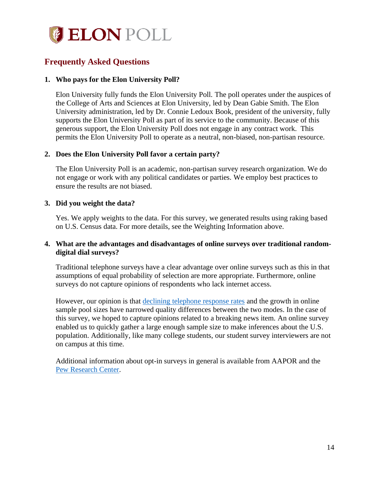

# <span id="page-13-0"></span>**Frequently Asked Questions**

## **1. Who pays for the Elon University Poll?**

Elon University fully funds the Elon University Poll. The poll operates under the auspices of the College of Arts and Sciences at Elon University, led by Dean Gabie Smith. The Elon University administration, led by Dr. Connie Ledoux Book, president of the university, fully supports the Elon University Poll as part of its service to the community. Because of this generous support, the Elon University Poll does not engage in any contract work. This permits the Elon University Poll to operate as a neutral, non-biased, non-partisan resource.

## **2. Does the Elon University Poll favor a certain party?**

The Elon University Poll is an academic, non-partisan survey research organization. We do not engage or work with any political candidates or parties. We employ best practices to ensure the results are not biased.

## **3. Did you weight the data?**

Yes. We apply weights to the data. For this survey, we generated results using raking based on U.S. Census data. For more details, see the Weighting Information above.

## **4. What are the advantages and disadvantages of online surveys over traditional randomdigital dial surveys?**

Traditional telephone surveys have a clear advantage over online surveys such as this in that assumptions of equal probability of selection are more appropriate. Furthermore, online surveys do not capture opinions of respondents who lack internet access.

However, our opinion is that [declining telephone response rates](http://www.pewresearch.org/fact-tank/2019/02/27/response-rates-in-telephone-surveys-have-resumed-their-decline/) and the growth in online sample pool sizes have narrowed quality differences between the two modes. In the case of this survey, we hoped to capture opinions related to a breaking news item. An online survey enabled us to quickly gather a large enough sample size to make inferences about the U.S. population. Additionally, like many college students, our student survey interviewers are not on campus at this time.

Additional information about opt-in surveys in general is available from AAPOR and the [Pew Research Center.](http://www.pewresearch.org/fact-tank/2018/08/06/what-are-nonprobability-surveys/)